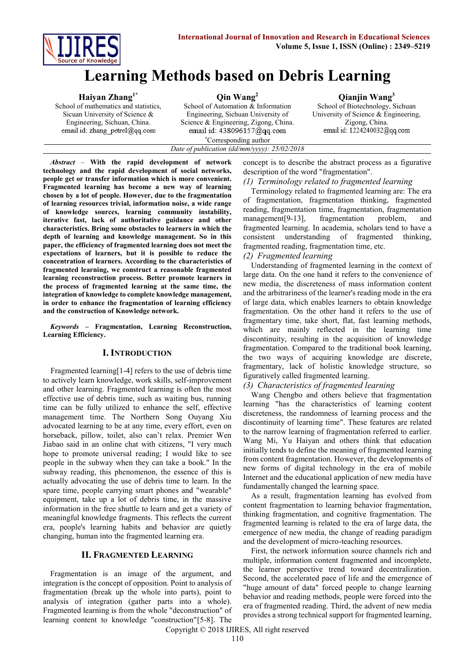

# **Learning Methods based on Debris Learning**

| $Q$ in Wang <sup>2</sup>                     | Qianjin Wang <sup>3</sup>            |
|----------------------------------------------|--------------------------------------|
| School of Automation & Information           | School of Biotechnology, Sichuan     |
| Engineering, Sichuan University of           | University of Science & Engineering, |
| Science & Engineering, Zigong, China.        | Zigong, China.                       |
|                                              | email id: 1224240032@qq.com          |
| *Corresponding author                        |                                      |
| Date of publication (dd/mm/yyyy): 25/02/2018 |                                      |
|                                              | email id: 438096157@qq.com           |

*Abstract* – **With the rapid development of network technology and the rapid development of social networks, people get or transfer information which is more convenient. Fragmented learning has become a new way of learning chosen by a lot of people. However, due to the fragmentation of learning resources trivial, information noise, a wide range of knowledge sources, learning community instability, iterative fast, lack of authoritative guidance and other characteristics. Bring some obstacles to learners in which the depth of learning and knowledge management. So in this paper, the efficiency of fragmented learning does not meet the expectations of learners, but it is possible to reduce the concentration of learners. According to the characteristics of fragmented learning, we construct a reasonable fragmented learning reconstruction process. Better promote learners in the process of fragmented learning at the same time, the integration of knowledge to complete knowledge management, in order to enhance the fragmentation of learning efficiency and the construction of Knowledge network.**

*Keywords* **– Fragmentation, Learning Reconstruction, Learning Efficiency.**

#### **I. INTRODUCTION**

Fragmented learning[1-4] refers to the use of debris time to actively learn knowledge, work skills, self-improvement and other learning. Fragmented learning is often the most effective use of debris time, such as waiting bus, running time can be fully utilized to enhance the self, effective management time. The Northern Song Ouyang Xiu advocated learning to be at any time, every effort, even on horseback, pillow, toilet, also can't relax. Premier Wen Jiabao said in an online chat with citizens, "I very much hope to promote universal reading; I would like to see people in the subway when they can take a book." In the subway reading, this phenomenon, the essence of this is actually advocating the use of debris time to learn. In the spare time, people carrying smart phones and "wearable" equipment, take up a lot of debris time, in the massive information in the free shuttle to learn and get a variety of meaningful knowledge fragments. This reflects the current era, people's learning habits and behavior are quietly changing, human into the fragmented learning era.

#### **II. FRAGMENTED LEARNING**

Fragmentation is an image of the argument, and integration is the concept of opposition. Point to analysis of fragmentation (break up the whole into parts), point to analysis of integration (gather parts into a whole). Fragmented learning is from the whole "deconstruction" of learning content to knowledge "construction"[5-8]. The concept is to describe the abstract process as a figurative description of the word "fragmentation".

*(1) Terminology related to fragmented learning*

Terminology related to fragmented learning are: The era of fragmentation, fragmentation thinking, fragmented reading, fragmentation time, fragmentation, fragmentation management[9-13], fragmentation problem, and fragmented learning. In academia, scholars tend to have a consistent understanding of fragmented thinking, fragmented reading, fragmentation time, etc.

*(2) Fragmented learning* 

Understanding of fragmented learning in the context of large data. On the one hand it refers to the convenience of new media, the discreteness of mass information content and the arbitrariness of the learner's reading mode in the era of large data, which enables learners to obtain knowledge fragmentation. On the other hand it refers to the use of fragmentary time, take short, flat, fast learning methods, which are mainly reflected in the learning time discontinuity, resulting in the acquisition of knowledge fragmentation. Compared to the traditional book learning, the two ways of acquiring knowledge are discrete, fragmentary, lack of holistic knowledge structure, so figuratively called fragmented learning.

#### *(3) Characteristics of fragmented learning*

Wang Chengbo and others believe that fragmentation learning "has the characteristics of learning content discreteness, the randomness of learning process and the discontinuity of learning time". These features are related to the narrow learning of fragmentation referred to earlier. Wang Mi, Yu Haiyan and others think that education initially tends to define the meaning of fragmented learning from content fragmentation. However, the developments of new forms of digital technology in the era of mobile Internet and the educational application of new media have fundamentally changed the learning space.

As a result, fragmentation learning has evolved from content fragmentation to learning behavior fragmentation, thinking fragmentation, and cognitive fragmentation. The fragmented learning is related to the era of large data, the emergence of new media, the change of reading paradigm and the development of micro-teaching resources.

First, the network information source channels rich and multiple, information content fragmented and incomplete, the learner perspective trend toward decentralization. Second, the accelerated pace of life and the emergence of "huge amount of data" forced people to change learning behavior and reading methods, people were forced into the era of fragmented reading. Third, the advent of new media provides a strong technical support for fragmented learning,

Copyright © 2018 IJIRES, All right reserved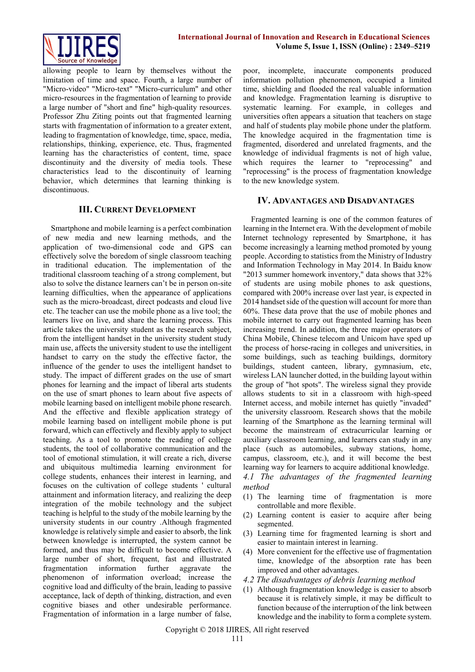

allowing people to learn by themselves without the limitation of time and space. Fourth, a large number of "Micro-video" "Micro-text" "Micro-curriculum" and other micro-resources in the fragmentation of learning to provide a large number of "short and fine" high-quality resources. Professor Zhu Ziting points out that fragmented learning starts with fragmentation of information to a greater extent, leading to fragmentation of knowledge, time, space, media, relationships, thinking, experience, etc. Thus, fragmented learning has the characteristics of content, time, space discontinuity and the diversity of media tools. These characteristics lead to the discontinuity of learning behavior, which determines that learning thinking is discontinuous.

## **III. CURRENT DEVELOPMENT**

Smartphone and mobile learning is a perfect combination of new media and new learning methods, and the application of two-dimensional code and GPS can effectively solve the boredom of single classroom teaching in traditional education. The implementation of the traditional classroom teaching of a strong complement, but also to solve the distance learners can't be in person on-site learning difficulties, when the appearance of applications such as the micro-broadcast, direct podcasts and cloud live etc. The teacher can use the mobile phone as a live tool; the learners live on live, and share the learning process. This article takes the university student as the research subject, from the intelligent handset in the university student study main use, affects the university student to use the intelligent handset to carry on the study the effective factor, the influence of the gender to uses the intelligent handset to study. The impact of different grades on the use of smart phones for learning and the impact of liberal arts students on the use of smart phones to learn about five aspects of mobile learning based on intelligent mobile phone research. And the effective and flexible application strategy of mobile learning based on intelligent mobile phone is put forward, which can effectively and flexibly apply to subject teaching. As a tool to promote the reading of college students, the tool of collaborative communication and the tool of emotional stimulation, it will create a rich, diverse and ubiquitous multimedia learning environment for college students, enhances their interest in learning, and focuses on the cultivation of college students ' cultural attainment and information literacy, and realizing the deep integration of the mobile technology and the subject teaching is helpful to the study of the mobile learning by the university students in our country .Although fragmented knowledge is relatively simple and easier to absorb, the link between knowledge is interrupted, the system cannot be formed, and thus may be difficult to become effective. A large number of short, frequent, fast and illustrated fragmentation information further aggravate the phenomenon of information overload; increase the cognitive load and difficulty of the brain, leading to passive acceptance, lack of depth of thinking, distraction, and even cognitive biases and other undesirable performance. Fragmentation of information in a large number of false,

poor, incomplete, inaccurate components produced information pollution phenomenon, occupied a limited time, shielding and flooded the real valuable information and knowledge. Fragmentation learning is disruptive to systematic learning. For example, in colleges and universities often appears a situation that teachers on stage and half of students play mobile phone under the platform. The knowledge acquired in the fragmentation time is fragmented, disordered and unrelated fragments, and the knowledge of individual fragments is not of high value, which requires the learner to "reprocessing" and "reprocessing" is the process of fragmentation knowledge to the new knowledge system.

#### **IV. ADVANTAGES AND DISADVANTAGES**

Fragmented learning is one of the common features of learning in the Internet era. With the development of mobile Internet technology represented by Smartphone, it has become increasingly a learning method promoted by young people. According to statistics from the Ministry of Industry and Information Technology in May 2014. In Baidu know "2013 summer homework inventory," data shows that 32% of students are using mobile phones to ask questions, compared with 200% increase over last year, is expected in 2014 handset side of the question will account for more than 60%. These data prove that the use of mobile phones and mobile internet to carry out fragmented learning has been increasing trend. In addition, the three major operators of China Mobile, Chinese telecom and Unicom have sped up the process of horse-racing in colleges and universities, in some buildings, such as teaching buildings, dormitory buildings, student canteen, library, gymnasium, etc, wireless LAN launcher dotted, in the building layout within the group of "hot spots". The wireless signal they provide allows students to sit in a classroom with high-speed Internet access, and mobile internet has quietly "invaded" the university classroom. Research shows that the mobile learning of the Smartphone as the learning terminal will become the mainstream of extracurricular learning or auxiliary classroom learning, and learners can study in any place (such as automobiles, subway stations, home, campus, classroom, etc.), and it will become the best learning way for learners to acquire additional knowledge.

*4.1 The advantages of the fragmented learning method*

- (1) The learning time of fragmentation is more controllable and more flexible.
- (2) Learning content is easier to acquire after being segmented.
- (3) Learning time for fragmented learning is short and easier to maintain interest in learning.
- (4) More convenient for the effective use of fragmentation time, knowledge of the absorption rate has been improved and other advantages.
- *4.2 The disadvantages of debris learning method*
- (1) Although fragmentation knowledge is easier to absorb because it is relatively simple, it may be difficult to function because of the interruption of the link between knowledge and the inability to form a complete system.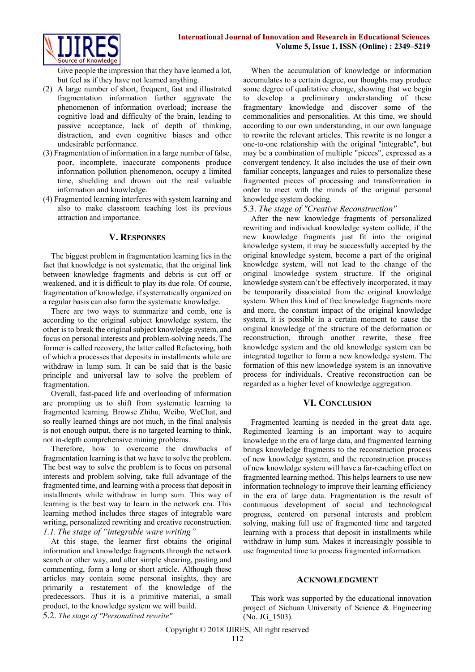

Give people the impression that they have learned a lot, but feel as if they have not learned anything.

- (2) A large number of short, frequent, fast and illustrated fragmentation information further aggravate the phenomenon of information overload; increase the cognitive load and difficulty of the brain, leading to passive acceptance, lack of depth of thinking, distraction, and even cognitive biases and other undesirable performance.
- (3) Fragmentation of information in a large number of false, poor, incomplete, inaccurate components produce information pollution phenomenon, occupy a limited time, shielding and drown out the real valuable information and knowledge.
- (4) Fragmented learning interferes with system learning and also to make classroom teaching lost its previous attraction and importance.

#### **V. RESPONSES**

The biggest problem in fragmentation learning lies in the fact that knowledge is not systematic, that the original link between knowledge fragments and debris is cut off or weakened, and it is difficult to play its due role. Of course, fragmentation of knowledge, if systematically organized on a regular basis can also form the systematic knowledge.

There are two ways to summarize and comb, one is according to the original subject knowledge system, the other is to break the original subject knowledge system, and focus on personal interests and problem-solving needs. The former is called recovery, the latter called Refactoring, both of which a processes that deposits in installments while are withdraw in lump sum. It can be said that is the basic principle and universal law to solve the problem of fragmentation.

Overall, fast-paced life and overloading of information are prompting us to shift from systematic learning to fragmented learning. Browse Zhihu, Weibo, WeChat, and so really learned things are not much, in the final analysis is not enough output, there is no targeted learning to think, not in-depth comprehensive mining problems.

Therefore, how to overcome the drawbacks of fragmentation learning is that we have to solve the problem. The best way to solve the problem is to focus on personal interests and problem solving, take full advantage of the fragmented time, and learning with a process that deposit in installments while withdraw in lump sum. This way of learning is the best way to learn in the network era. This learning method includes three stages of integrable ware writing, personalized rewriting and creative reconstruction. *1.1.The stage of "integrable ware writing"*

At this stage, the learner first obtains the original information and knowledge fragments through the network search or other way, and after simple shearing, pasting and commenting, form a long or short article. Although these articles may contain some personal insights, they are primarily a restatement of the knowledge of the predecessors. Thus it is a primitive material, a small product, to the knowledge system we will build. 5.2. *The stage of "Personalized rewrite"*

When the accumulation of knowledge or information accumulates to a certain degree, our thoughts may produce some degree of qualitative change, showing that we begin to develop a preliminary understanding of these fragmentary knowledge and discover some of the commonalities and personalities. At this time, we should according to our own understanding, in our own language to rewrite the relevant articles. This rewrite is no longer a one-to-one relationship with the original "integrable", but may be a combination of multiple "pieces", expressed as a convergent tendency. It also includes the use of their own familiar concepts, languages and rules to personalize these fragmented pieces of processing and transformation in order to meet with the minds of the original personal knowledge system docking.

#### 5.3. *The stage of "Creative Reconstruction"*

After the new knowledge fragments of personalized rewriting and individual knowledge system collide, if the new knowledge fragments just fit into the original knowledge system, it may be successfully accepted by the original knowledge system, become a part of the original knowledge system, will not lead to the change of the original knowledge system structure. If the original knowledge system can't be effectively incorporated, it may be temporarily dissociated from the original knowledge system. When this kind of free knowledge fragments more and more, the constant impact of the original knowledge system, it is possible in a certain moment to cause the original knowledge of the structure of the deformation or reconstruction, through another rewrite, these free knowledge system and the old knowledge system can be integrated together to form a new knowledge system. The formation of this new knowledge system is an innovative process for individuals. Creative reconstruction can be regarded as a higher level of knowledge aggregation.

# **VI. CONCLUSION**

Fragmented learning is needed in the great data age. Regimented learning is an important way to acquire knowledge in the era of large data, and fragmented learning brings knowledge fragments to the reconstruction process of new knowledge system, and the reconstruction process of new knowledge system will have a far-reaching effect on fragmented learning method. This helps learners to use new information technology to improve their learning efficiency in the era of large data. Fragmentation is the result of continuous development of social and technological progress, centered on personal interests and problem solving, making full use of fragmented time and targeted learning with a process that deposit in installments while withdraw in lump sum. Makes it increasingly possible to use fragmented time to process fragmented information.

#### **ACKNOWLEDGMENT**

This work was supported by the educational innovation project of Sichuan University of Science & Engineering (No. JG\_1503).